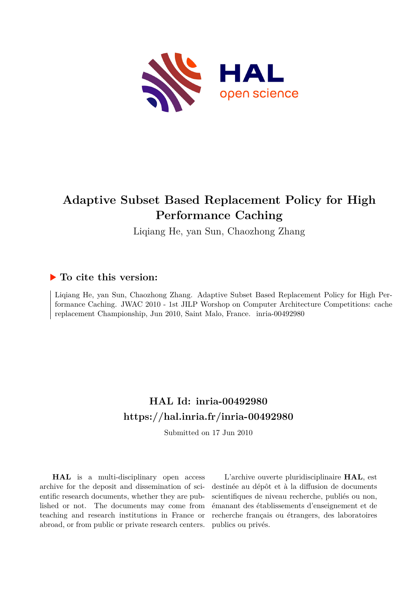

# **Adaptive Subset Based Replacement Policy for High Performance Caching**

Liqiang He, yan Sun, Chaozhong Zhang

## **To cite this version:**

Liqiang He, yan Sun, Chaozhong Zhang. Adaptive Subset Based Replacement Policy for High Performance Caching. JWAC 2010 - 1st JILP Worshop on Computer Architecture Competitions: cache replacement Championship, Jun 2010, Saint Malo, France. inria-00492980

## **HAL Id: inria-00492980 <https://hal.inria.fr/inria-00492980>**

Submitted on 17 Jun 2010

**HAL** is a multi-disciplinary open access archive for the deposit and dissemination of scientific research documents, whether they are published or not. The documents may come from teaching and research institutions in France or abroad, or from public or private research centers.

L'archive ouverte pluridisciplinaire **HAL**, est destinée au dépôt et à la diffusion de documents scientifiques de niveau recherche, publiés ou non, émanant des établissements d'enseignement et de recherche français ou étrangers, des laboratoires publics ou privés.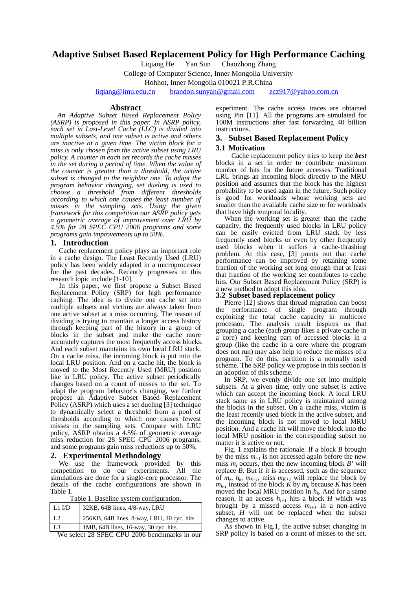## **Adaptive Subset Based Replacement Policy for High Performance Caching**

Liqiang He Yan Sun Chaozhong Zhang

College of Computer Science, Inner Mongolia University

Hohhot, Inner Mongolia 010021 P.R.China

[liqiang@imu.edu.cn](mailto:liqiang@imu.edu.cn) [brandon.sunyan@gmail.com](mailto:brandon.sunyan@gmail.com) [zcz917@yahoo.com.cn](mailto:zcz917@yahoo.com.cn)

#### **Abstract**

 *An Adaptive Subset Based Replacement Policy (ASRP) is proposed in this paper. In ASRP policy, each set in Last-Level Cache (LLC) is divided into multiple subsets, and one subset is active and others are inactive at a given time. The victim block for a miss is only chosen from the active subset using LRU policy. A counter in each set records the cache misses in the set during a period of time. When the value of the counter is greater than a threshold, the active subset is changed to the neighbor one. To adapt the program behavior changing, set dueling is used to choose a threshold from different thresholds according to which one causes the least number of misses in the sampling sets. Using the given framework for this competition our ASRP policy gets a geometric average of improvement over LRU by 4.5% for 28 SPEC CPU 2006 programs and some programs gain improvements up to 50%.* 

#### **1. Introduction**

Cache replacement policy plays an important role in a cache design. The Least Recently Used (LRU) policy has been widely adapted in a microprocessor for the past decades. Recently progresses in this research topic include [1-10].

In this paper, we first propose a Subset Based Replacement Policy (SRP) for high performance caching. The idea is to divide one cache set into multiple subsets and victims are always taken from one active subset at a miss occurring. The reason of dividing is trying to maintain a longer access history through keeping part of the history in a group of blocks in the subset and make the cache more accurately captures the most frequently access blocks. And each subset maintains its own local LRU stack. On a cache miss, the incoming block is put into the local LRU position. And on a cache hit, the block is moved to the Most Recently Used (MRU) position like in LRU policy. The active subset periodically changes based on a count of misses to the set. To adapt the program behavior's changing, we further propose an Adaptive Subset Based Replacement Policy (ASRP) which uses a set dueling [3] technique to dynamically select a threshold from a pool of thresholds according to which one causes fewest misses in the sampling sets. Compare with LRU policy, ASRP obtains a 4.5% of geometric average miss reduction for 28 SPEC CPU 2006 programs, and some programs gain miss reductions up to 50%.

#### **2. Experimental Methodology**

We use the framework provided by this competition to do our experiments. All the simulations are done for a single-core processor. The details of the cache configurations are shown in Table 1.

Table 1. Baseline system configuration.

| 32KB, 64B lines, 4/8-way, LRU              |
|--------------------------------------------|
| 256KB, 64B lines, 8-way, LRU, 10 cyc. hits |
| 1MB, 64B lines, 16-way, 30 cyc. hits       |
|                                            |

We select 28 SPEC CPU 2006 benchmarks in our

experiment. The cache access traces are obtained using Pin [11]. All the programs are simulated for 100M instructions after fast forwarding 40 billion instructions.

## **3. Subset Based Replacement Policy**

### **3.1 Motivation**

Cache replacement policy tries to keep the *best* blocks in a set in order to contribute maximum number of hits for the future accesses. Traditional LRU brings an incoming block directly to the MRU position and assumes that the block has the highest probability to be used again in the future. Such policy is good for workloads whose working sets are smaller than the available cache size or for workloads that have high temporal locality.

When the working set is greater than the cache capacity, the frequently used blocks in LRU policy can be easily evicted from LRU stack by less frequently used blocks or even by other frequently used blocks when it suffers a cache-thrashing problem. At this case, [3] points out that cache performance can be improved by retaining some fraction of the working set long enough that at least that fraction of the working set contributes to cache hits. Our Subset Based Replacement Policy (SRP) is a new method to adopt this idea.

## **3.2 Subset based replacement policy**

Pierre [12] shows that thread migration can boost the performance of single program through exploiting the total cache capacity in multicore processor. The analysis result inspires us that grouping a cache (each group likes a private cache in a core) and keeping part of accessed blocks in a group (like the cache in a core where the program does not run) may also help to reduce the misses of a program. To do this, partition is a normally used scheme. The SRP policy we propose in this section is an adoption of this scheme.

In SRP, we evenly divide one set into multiple subsets. At a given time, only one subset is active which can accept the incoming block. A local LRU stack same as in LRU policy is maintained among the blocks in the subset. On a cache miss, victim is the least recently used block in the active subset, and the incoming block is not moved to local MRU position. And a cache hit will move the block into the local MRU position in the corresponding subset no matter it is active or not.

Fig. 1 explains the rationale. If a block *B* brought by the miss  $m_{i-1}$  is not accessed again before the new miss *mi* occurs, then the new incoming block *B'* will replace *B*. But if it is accessed, such as the sequence of  $m_k$ ,  $h_k$ ,  $m_{k+1}$ , miss  $m_{K+1}$  will replace the block by  $m_{k-1}$  instead of the block *K* by  $m_k$  because *K* has been moved the local MRU position in  $h_k$ . And for a same reason, if an access  $h_{i+1}$  hits a block *H* which was brought by a missed access  $m_{i+1}$  in a non-active subset,  $H$  will not be replaced when the subset changes to active.

As shown in Fig.1, the active subset changing in SRP policy is based on a count of misses to the set.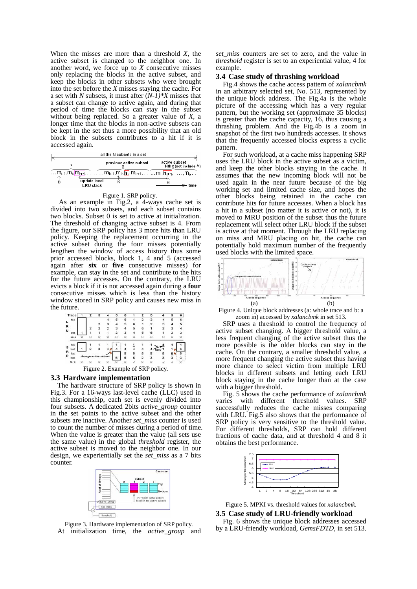When the misses are more than a threshold *X*, the active subset is changed to the neighbor one. In another word, we force up to *X* consecutive misses only replacing the blocks in the active subset, and keep the blocks in other subsets who were brought into the set before the  $X$  misses staying the cache. For a set with *N* subsets, it must after  $(N-I)^*X$  misses that a subset can change to active again, and during that period of time the blocks can stay in the subset without being replaced. So a greater value of *X*, a longer time that the blocks in non-active subsets can be kept in the set thus a more possibility that an old block in the subsets contributes to a hit if it is accessed again.

|                                       | all the N subsets in a set                                                                                                                                                    |               |                       |
|---------------------------------------|-------------------------------------------------------------------------------------------------------------------------------------------------------------------------------|---------------|-----------------------|
|                                       | previous active subset                                                                                                                                                        | active subset | Nth x (not include h) |
|                                       | m <sub>i-1</sub> ,m <sub>i</sub> ,m <sub>i+1</sub> ,m <sub>k-1</sub> ,m <sub>k-</sub> n <sub>k</sub> ,m <sub>k+1</sub> ,"m <sub>i</sub> ,h <sub>i+1</sub> , ,m <sub>i</sub> , |               |                       |
| update local<br>в<br><b>LRU stack</b> |                                                                                                                                                                               |               | time                  |

#### Figure 1. SRP policy.

As an example in Fig.2, a 4-ways cache set is divided into two subsets, and each subset contains two blocks. Subset 0 is set to active at initialization. The threshold of changing active subset is 4. From the figure, our SRP policy has 3 more hits than LRU policy. Keeping the replacement occurring in the active subset during the four misses potentially lengthen the window of access history thus some prior accessed blocks, block 1, 4 and 5 (accessed again after **six** or **five** consecutive misses) for example, can stay in the set and contribute to the hits for the future accesses. On the contrary, the LRU evicts a block if it is not accessed again during a **four** consecutive misses which is less than the history window stored in SRP policy and causes new miss in the future.



Figure 2. Example of SRP policy.

#### **3.3 Hardware implementation**

The hardware structure of SRP policy is shown in Fig.3. For a 16-ways last-level cache (LLC) used in this championship, each set is evenly divided into four subsets. A dedicated 2bits *active* group counter in the set points to the active subset and the other subsets are inactive. Another *set\_miss* counter is used to count the number of misses during a period of time. When the value is greater than the value (all sets use the same value) in the global *threshold* register, the active subset is moved to the neighbor one. In our design, we experientially set the *set\_miss* as a 7 bits counter.



Figure 3. Hardware implementation of SRP policy. At initialization time, the *active\_group* and

*set\_miss* counters are set to zero, and the value in *threshold* register is set to an experiential value, 4 for example.

#### **3.4 Case study of thrashing workload**

 Fig.4 shows the cache access pattern of *xalancbmk* in an arbitrary selected set, No. 513, represented by the unique block address. The Fig.4a is the whole picture of the accessing which has a very regular pattern, but the working set (approximate 35 blocks) is greater than the cache capacity, 16, thus causing a thrashing problem. And the Fig.4b is a zoom in snapshot of the first two hundreds accesses. It shows that the frequently accessed blocks express a cyclic pattern.

 For such workload, at a cache miss happening SRP uses the LRU block in the active subset as a victim, and keep the other blocks staying in the cache. It assumes that the new incoming block will not be used again in the near future because of the big working set and limited cache size, and hopes the other blocks being retained in the cache can contribute hits for future accesses. When a block has a hit in a subset (no matter it is active or not), it is moved to MRU position of the subset thus the future replacement will select other LRU block if the subset is active at that moment. Through the LRU replacing on miss and MRU placing on hit, the cache can potentially hold maximum number of the frequently used blocks with the limited space.



Figure 4. Unique block addresses (a: whole trace and b: a zoom in) accessed by *xalancbmk* in set 513.

SRP uses a threshold to control the frequency of active subset changing. A bigger threshold value, a less frequent changing of the active subset thus the more possible is the older blocks can stay in the cache. On the contrary, a smaller threshold value, a more frequent changing the active subset thus having more chance to select victim from multiple LRU blocks in different subsets and letting each LRU block staying in the cache longer than at the case with a bigger threshold.

Fig. 5 shows the cache performance of *xalancbmk* varies with different threshold values. SRP successfully reduces the cache misses comparing with LRU. Fig.5 also shows that the performance of SRP policy is very sensitive to the threshold value. For different thresholds, SRP can hold different fractions of cache data, and at threshold 4 and 8 it obtains the best performance.



Figure 5. MPKI vs. threshold values for *xalancbmk*.

#### **3.5 Case study of LRU-friendly workload**

 Fig. 6 shows the unique block addresses accessed by a LRU-friendly workload, *GemsFDTD,* in set 513.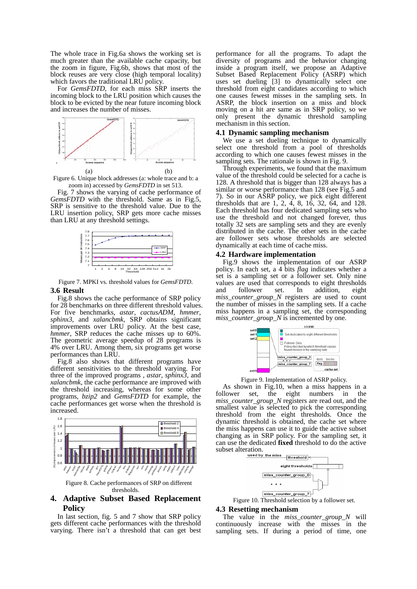The whole trace in Fig.6a shows the working set is much greater than the available cache capacity, but the zoom in figure, Fig.6b, shows that most of the block reuses are very close (high temporal locality) which favors the traditional LRU policy

For *GemsFDTD*, for each miss SRP inserts the incoming block to the LRU position which causes the block to be evicted by the near future incoming block and increases the number of misses.



Figure 6. Unique block addresses (a: whole trace and b: a zoom in) accessed by *GemsFDTD* in set 513.

Fig. 7 shows the varying of cache performance of *GemsFDTD* with the threshold. Same as in Fig.5, SRP is sensitive to the threshold value. Due to the LRU insertion policy, SRP gets more cache misses than LRU at any threshold settings.



Figure 7. MPKI vs. threshold values for *GemsFDTD*.

#### **3.6 Result**

Fig.8 shows the cache performance of SRP policy for 28 benchmarks on three different threshold values. For five benchmarks, *astar*, *cactusADM*, *hmmer*, *sphinx3*, and *xalancbmk*, SRP obtains significant improvements over LRU policy. At the best case, *hmmer*, SRP reduces the cache misses up to 60%. The geometric average speedup of 28 programs is 4% over LRU. Among them, six programs get worse performances than LRU.

Fig.8 also shows that different programs have different sensitivities to the threshold varying. For three of the improved programs , *astar*, *sphinx3*, and *xalancbmk*, the cache performance are improved with the threshold increasing, whereas for some other programs, *bzip2* and *GemsFDTD* for example, the cache performances get worse when the threshold is increased.



### **4. Adaptive Subset Based Replacement Policy**

 In last section, fig. 5 and 7 show that SRP policy gets different cache performances with the threshold varying. There isn't a threshold that can get best performance for all the programs. To adapt the diversity of programs and the behavior changing inside a program itself, we propose an Adaptive Subset Based Replacement Policy (ASRP) which uses set dueling [3] to dynamically select one threshold from eight candidates according to which one causes fewest misses in the sampling sets. In ASRP, the block insertion on a miss and block moving on a hit are same as in SRP policy, so we only present the dynamic threshold sampling mechanism in this section.

#### **4.1 Dynamic sampling mechanism**

We use a set dueling technique to dynamically select one threshold from a pool of thresholds according to which one causes fewest misses in the sampling sets. The rationale is shown in Fig. 9.

Through experiments, we found that the maximum value of the threshold could be selected for a cache is 128. A threshold that is bigger than 128 always has a similar or worse performance than 128 (see Fig.5 and 7). So in our ASRP policy, we pick eight different thresholds that are 1, 2, 4, 8, 16, 32, 64, and 128. Each threshold has four dedicated sampling sets who use the threshold and not changed forever, thus totally 32 sets are sampling sets and they are evenly distributed in the cache. The other sets in the cache are follower sets whose thresholds are selected dynamically at each time of cache miss.

#### **4.2 Hardware implementation**

Fig.9 shows the implementation of our ASRP policy. In each set, a 4 bits *flag* indicates whether a set is a sampling set or a follower set. Only nine values are used that corresponds to eight thresholds and follower set. In addition, eight *miss\_counter\_group\_N* registers are used to count the number of misses in the sampling sets. If a cache miss happens in a sampling set, the corresponding *miss\_counter\_group\_N* is incremented by one.

|                         | LEGEND                                                                                                                                          |                          |
|-------------------------|-------------------------------------------------------------------------------------------------------------------------------------------------|--------------------------|
| set 0<br>set 1<br>set 2 | Set dedicated to eight different thresholds<br>Follower Sets.<br>Policy decided by which threshold causes<br>fewest misses in the samping sets. |                          |
|                         | miss_counter_group_0<br>miss_counter_group_7                                                                                                    | 4bits<br>blocks.<br>flag |
|                         |                                                                                                                                                 | cache set                |

Figure 9. Implementation of ASRP policy. As shown in Fig.10, when a miss happens in a follower set, the eight numbers in the *miss\_counter\_group\_N* registers are read out, and the smallest value is selected to pick the corresponding threshold from the eight thresholds. Once the dynamic threshold is obtained, the cache set where the miss happens can use it to guide the active subset changing as in SRP policy. For the sampling set, it can use the dedicated **fixed** threshold to do the active



#### **4.3 Resetting mechanism**

The value in the *miss\_counter\_group\_N* will continuously increase with the misses in the sampling sets. If during a period of time, one